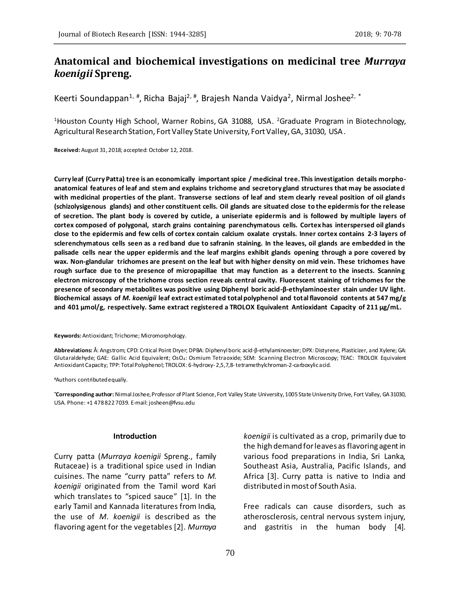# **Anatomical and biochemical investigations on medicinal tree** *Murraya koenigii* **Spreng.**

Keerti Soundappan<sup>1, #</sup>, Richa Bajaj<sup>2, #</sup>, Brajesh Nanda Vaidya<sup>2</sup>, Nirmal Joshee<sup>2, \*</sup>

<sup>1</sup>Houston County High School, Warner Robins, GA 31088, USA. <sup>2</sup>Graduate Program in Biotechnology, Agricultural Research Station, Fort Valley State University, Fort Valley, GA, 31030, USA.

**Received:** August 31, 2018; accepted: October 12, 2018.

**Curry leaf (Curry Patta) tree is an economically important spice / medicinal tree. This investigation details morphoanatomical features of leaf and stem and explains trichome and secretory gland structures that may be associated with medicinal properties of the plant. Transverse sections of leaf and stem clearly reveal position of oil glands (schizolysigenous glands) and other constituent cells. Oil glands are situated close to the epidermis for the release of secretion. The plant body is covered by cuticle, a uniseriate epidermis and is followed by multiple layers of cortex composed of polygonal, starch grains containing parenchymatous cells. Cortex has interspersed oil glands close to the epidermis and few cells of cortex contain calcium oxalate crystals. Inner cortex contains 2-3 layers of sclerenchymatous cells seen as a red band due to safranin staining. In the leaves, oil glands are embedded in the palisade cells near the upper epidermis and the leaf margins exhibit glands opening through a pore covered by wax. Non-glandular trichomes are present on the leaf but with higher density on mid vein. These trichomes have rough surface due to the presence of micropapillae that may function as a deterrent to the insects. Scanning electron microscopy of the trichome cross section reveals central cavity. Fluorescent staining of trichomes for the presence of secondary metabolites was positive using Diphenyl boric acid-β-ethylaminoester stain under UV light. Biochemical assays of** *M***.** *koenigii* **leaf extract estimated total polyphenol and total flavonoid contents at 547 mg/g and 401 µmol/g, respectively. Same extract registered a TROLOX Equivalent Antioxidant Capacity of 211 µg/mL.**

**Keywords:** Antioxidant; Trichome; Micromorphology.

**Abbreviations:** Å: Angstrom; CPD: Critical Point Dryer; DPBA: Diphenyl boric acid-β-ethylaminoester; DPX: Distyrene, Plasticizer, and Xylene; GA: Glutaraldehyde; GAE: Gallic Acid Equivalent; OsO4: Osmium Tetraoxide; SEM: Scanning Electron Microscopy; TEAC: TROLOX Equivalent Antioxidant Capacity; TPP: Total Polyphenol; TROLOX: 6-hydroxy- 2,5,7,8-tetramethylchroman-2-carboxylic acid.

#Authors contributed equally.

**\*Corresponding author:** Nirmal Joshee, Professor of Plant Science, Fort Valley State University, 1005 State University Drive, Fort Valley, GA 31030, USA. Phone: +1 478 822 7039. E-mail: josheen@fvsu.edu

#### **Introduction**

Curry patta (*Murraya koenigii* Spreng., family Rutaceae) is a traditional spice used in Indian cuisines. The name "curry patta" refers to *M*. *koenigii* originated from the Tamil word Kari which translates to "spiced sauce" [1]. In the early Tamil and Kannada literatures from India, the use of *M*. *koenigii* is described as the flavoring agent for the vegetables [2]. *Murraya* *koenigii* is cultivated as a crop, primarily due to the high demand for leaves as flavoring agent in various food preparations in India, Sri Lanka, Southeast Asia, Australia, Pacific Islands, and Africa [3]. Curry patta is native to India and distributed in most of South Asia.

Free radicals can cause disorders, such as atherosclerosis, central nervous system injury, and gastritis in the human body [4].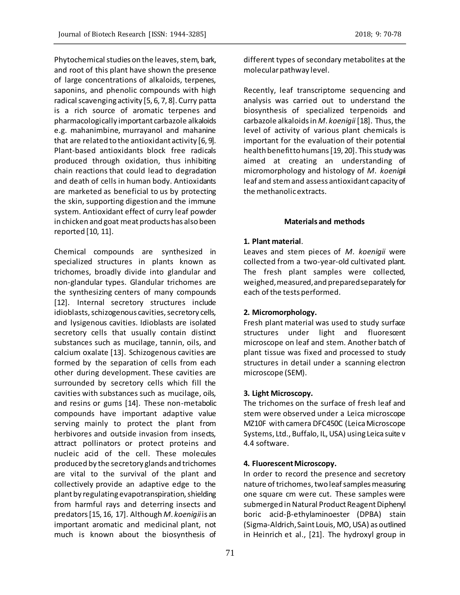Phytochemical studies on the leaves, stem, bark, and root of this plant have shown the presence of large concentrations of alkaloids, terpenes, saponins, and phenolic compounds with high radical scavenging activity [5, 6, 7, 8]. Curry patta is a rich source of aromatic terpenes and pharmacologically important carbazole alkaloids e.g. mahanimbine, murrayanol and mahanine that are related to the antioxidant activity [6, 9]. Plant-based antioxidants block free radicals produced through oxidation, thus inhibiting chain reactions that could lead to degradation and death of cells in human body. Antioxidants are marketed as beneficial to us by protecting the skin, supporting digestion and the immune system. Antioxidant effect of curry leaf powder in chicken and goat meat products has also been reported [10, 11].

Chemical compounds are synthesized in specialized structures in plants known as trichomes, broadly divide into glandular and non-glandular types. Glandular trichomes are the synthesizing centers of many compounds [12]. Internal secretory structures include idioblasts, schizogenous cavities, secretory cells, and lysigenous cavities. Idioblasts are isolated secretory cells that usually contain distinct substances such as mucilage, tannin, oils, and calcium oxalate [13]. Schizogenous cavities are formed by the separation of cells from each other during development. These cavities are surrounded by secretory cells which fill the cavities with substances such as mucilage, oils, and resins or gums [14]. These non-metabolic compounds have important adaptive value serving mainly to protect the plant from herbivores and outside invasion from insects, attract pollinators or protect proteins and nucleic acid of the cell. These molecules produced by the secretory glands and trichomes are vital to the survival of the plant and collectively provide an adaptive edge to the plant by regulating evapotranspiration, shielding from harmful rays and deterring insects and predators [15, 16, 17]. Although *M*. *koenigii*is an important aromatic and medicinal plant, not much is known about the biosynthesis of

different types of secondary metabolites at the molecular pathway level.

Recently, leaf transcriptome sequencing and analysis was carried out to understand the biosynthesis of specialized terpenoids and carbazole alkaloids in *M*. *koenigii* [18]. Thus, the level of activity of various plant chemicals is important for the evaluation of their potential health benefit to humans [19, 20]. This study was aimed at creating an understanding of micromorphology and histology of *M*. *koenigi*i leaf and stem and assess antioxidant capacity of the methanolic extracts.

## **Materials and methods**

## **1. Plant material**.

Leaves and stem pieces of *M*. *koenigii* were collected from a two-year-old cultivated plant. The fresh plant samples were collected, weighed, measured, and prepared separately for each of the tests performed.

# **2. Micromorphology.**

Fresh plant material was used to study surface structures under light and fluorescent microscope on leaf and stem. Another batch of plant tissue was fixed and processed to study structures in detail under a scanning electron microscope (SEM).

# **3. Light Microscopy.**

The trichomes on the surface of fresh leaf and stem were observed under a Leica microscope MZ10F with camera DFC450C (Leica Microscope Systems, Ltd., Buffalo, IL, USA) using Leica suite v 4.4 software.

## **4. Fluorescent Microscopy.**

In order to record the presence and secretory nature of trichomes, two leaf samples measuring one square cm were cut. These samples were submerged in Natural Product Reagent Diphenyl boric acid-β-ethylaminoester (DPBA) stain (Sigma-Aldrich, Saint Louis, MO, USA) as outlined in Heinrich et al., [21]. The hydroxyl group in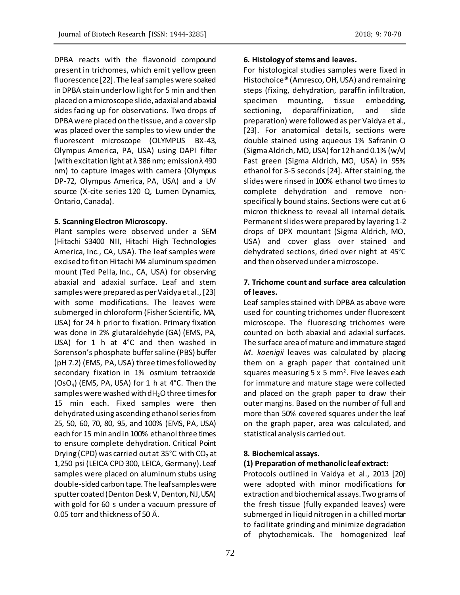DPBA reacts with the flavonoid compound present in trichomes, which emit yellow green fluorescence [22]. The leaf samples were soaked in DPBA stain under low light for 5 min and then placed on a microscope slide, adaxial and abaxial sides facing up for observations. Two drops of DPBA were placed on the tissue, and a cover slip was placed over the samples to view under the fluorescent microscope (OLYMPUS BX-43, Olympus America, PA, USA) using DAPI filter (with excitation light at λ 386 nm; emission λ 490 nm) to capture images with camera (Olympus DP-72, Olympus America, PA, USA) and a UV source (X-cite series 120 Q, Lumen Dynamics, Ontario, Canada).

### **5. Scanning Electron Microscopy.**

Plant samples were observed under a SEM (Hitachi S3400 NII, Hitachi High Technologies America, Inc., CA, USA). The leaf samples were excised to fit on Hitachi M4 aluminum specimen mount (Ted Pella, Inc., CA, USA) for observing abaxial and adaxial surface. Leaf and stem samples were prepared as per Vaidya et al., [23] with some modifications. The leaves were submerged in chloroform (Fisher Scientific, MA, USA) for 24 h prior to fixation. Primary fixation was done in 2% glutaraldehyde (GA) (EMS, PA, USA) for 1 h at 4°C and then washed in Sorenson's phosphate buffer saline (PBS) buffer (pH 7.2) (EMS, PA, USA) three times followed by secondary fixation in 1% osmium tetraoxide  $(OsO<sub>4</sub>)$  (EMS, PA, USA) for 1 h at 4°C. Then the samples were washed with  $dH_2O$  three times for 15 min each. Fixed samples were then dehydrated using ascending ethanol series from 25, 50, 60, 70, 80, 95, and 100% (EMS, PA, USA) each for 15 min and in 100% ethanol three times to ensure complete dehydration. Critical Point Drying (CPD) was carried out at 35°C with  $CO<sub>2</sub>$  at 1,250 psi (LEICA CPD 300, LEICA, Germany). Leaf samples were placed on aluminum stubs using double-sided carbon tape. The leaf samples were sputter coated (Denton Desk V, Denton, NJ, USA) with gold for 60 s under a vacuum pressure of 0.05 torr and thickness of 50 Å.

#### **6. Histology of stems and leaves.**

For histological studies samples were fixed in Histochoice® (Amresco, OH, USA) and remaining steps (fixing, dehydration, paraffin infiltration, specimen mounting, tissue embedding, sectioning, deparaffinization, and slide preparation) were followed as per Vaidya et al., [23]. For anatomical details, sections were double stained using aqueous 1% Safranin O (Sigma Aldrich, MO, USA) for 12 h and 0.1% (w/v) Fast green (Sigma Aldrich, MO, USA) in 95% ethanol for 3-5 seconds [24]. After staining, the slides were rinsed in 100% ethanol two times to complete dehydration and remove nonspecifically bound stains. Sections were cut at 6 micron thickness to reveal all internal details. Permanent slides were prepared by layering 1-2 drops of DPX mountant (Sigma Aldrich, MO, USA) and cover glass over stained and dehydrated sections, dried over night at 45°C and then observed under a microscope.

# **7. Trichome count and surface area calculation of leaves.**

Leaf samples stained with DPBA as above were used for counting trichomes under fluorescent microscope. The fluorescing trichomes were counted on both abaxial and adaxial surfaces. The surface area of mature and immature staged *M*. *koenigii* leaves was calculated by placing them on a graph paper that contained unit squares measuring 5 x 5 mm<sup>2</sup>. Five leaves each for immature and mature stage were collected and placed on the graph paper to draw their outer margins. Based on the number of full and more than 50% covered squares under the leaf on the graph paper, area was calculated, and statistical analysis carried out.

## **8. Biochemical assays.**

#### **(1) Preparation of methanolic leaf extract:**

Protocols outlined in Vaidya et al., 2013 [20] were adopted with minor modifications for extraction and biochemical assays. Two grams of the fresh tissue (fully expanded leaves) were submerged in liquid nitrogen in a chilled mortar to facilitate grinding and minimize degradation of phytochemicals. The homogenized leaf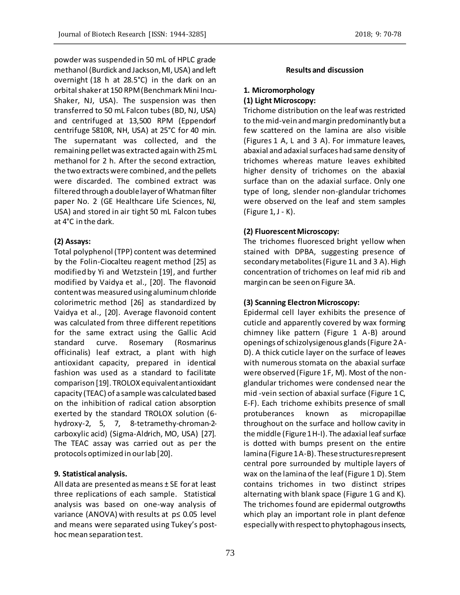powder was suspended in 50 mL of HPLC grade methanol (Burdick and Jackson, MI, USA) and left overnight (18 h at 28.5°C) in the dark on an orbital shaker at 150 RPM (Benchmark Mini Incu-Shaker, NJ, USA). The suspension was then transferred to 50 mL Falcon tubes (BD, NJ, USA) and centrifuged at 13,500 RPM (Eppendorf centrifuge 5810R, NH, USA) at 25°C for 40 min. The supernatant was collected, and the remaining pellet was extracted again with 25 mL methanol for 2 h. After the second extraction, the two extracts were combined, and the pellets were discarded. The combined extract was filtered through a double layer of Whatman filter paper No. 2 (GE Healthcare Life Sciences, NJ, USA) and stored in air tight 50 mL Falcon tubes at 4°C in the dark.

# **(2) Assays:**

Total polyphenol (TPP) content was determined by the Folin-Ciocalteu reagent method [25] as modified by Yi and Wetzstein [19], and further modified by Vaidya et al., [20]. The flavonoid content was measured using aluminum chloride colorimetric method [26] as standardized by Vaidya et al., [20]. Average flavonoid content was calculated from three different repetitions for the same extract using the Gallic Acid standard curve. Rosemary (Rosmarinus officinalis) leaf extract, a plant with high antioxidant capacity, prepared in identical fashion was used as a standard to facilitate comparison [19]. TROLOX equivalent antioxidant capacity (TEAC) of a sample was calculated based on the inhibition of radical cation absorption exerted by the standard TROLOX solution (6 hydroxy-2, 5, 7, 8-tetramethy-chroman-2 carboxylic acid) (Sigma-Aldrich, MO, USA) [27]. The TEAC assay was carried out as per the protocols optimized in our lab [20].

## **9. Statistical analysis.**

All data are presented as means ± SE for at least three replications of each sample. Statistical analysis was based on one-way analysis of variance (ANOVA) with results at p≤ 0.05 level and means were separated using Tukey's posthoc mean separation test.

## **Results and discussion**

## **1. Micromorphology (1) Light Microscopy:**

Trichome distribution on the leaf was restricted to the mid-vein and margin predominantly but a few scattered on the lamina are also visible (Figures 1 A, L and 3 A). For immature leaves, abaxial and adaxial surfaces had same density of trichomes whereas mature leaves exhibited higher density of trichomes on the abaxial surface than on the adaxial surface. Only one type of long, slender non-glandular trichomes were observed on the leaf and stem samples (Figure 1, J - K).

## **(2) Fluorescent Microscopy:**

The trichomes fluoresced bright yellow when stained with DPBA, suggesting presence of secondary metabolites (Figure 1 L and 3 A). High concentration of trichomes on leaf mid rib and margin can be seen on Figure 3A.

## **(3) Scanning Electron Microscopy:**

Epidermal cell layer exhibits the presence of cuticle and apparently covered by wax forming chimney like pattern (Figure 1 A-B) around openings of schizolysigenous glands (Figure 2 A-D). A thick cuticle layer on the surface of leaves with numerous stomata on the abaxial surface were observed (Figure 1F, M). Most of the nonglandular trichomes were condensed near the mid -vein section of abaxial surface (Figure 1 C, E-F). Each trichome exhibits presence of small protuberances known as micropapillae throughout on the surface and hollow cavity in the middle (Figure 1 H-I). The adaxial leaf surface is dotted with bumps present on the entire lamina (Figure 1 A-B). These structures represent central pore surrounded by multiple layers of wax on the lamina of the leaf (Figure 1 D). Stem contains trichomes in two distinct stripes alternating with blank space (Figure 1 G and K). The trichomes found are epidermal outgrowths which play an important role in plant defence especially with respect to phytophagous insects,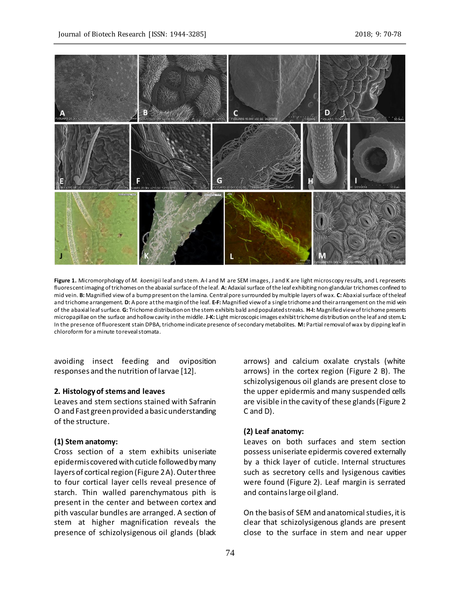

**Figure 1.** Micromorphology of *M. koenigii* leaf and stem. A-I and M are SEM images, J and K are light microscopy results, and L represents fluorescent imaging of trichomes on the abaxial surface of the leaf. **A:** Adaxial surface of the leaf exhibiting non-glandular trichomes confined to mid vein. **B:** Magnified view of a bump present on the lamina. Central pore surrounded by multiple layers of wax. **C:** Abaxial surface of the leaf and trichome arrangement. **D:** A pore at the margin of the leaf. **E-F:** Magnified view of a single trichome and their arrangement on the mid vein of the abaxial leaf surface. **G:** Trichome distribution on the stem exhibits bald and populated streaks. **H-I:** Magnified view of trichome presents micropapillae on the surface and hollow cavity in the middle. **J-K:** Light microscopic images exhibit trichome distribution on the leaf and stem. **L:** In the presence of fluorescent stain DPBA, trichome indicate presence of secondary metabolites. **M:** Partial removal of wax by dipping leaf in chloroform for a minute to reveal stomata.

avoiding insect feeding and oviposition responses and the nutrition of larvae [12].

#### **2. Histology of stems and leaves**

Leaves and stem sections stained with Safranin O and Fast green provided a basic understanding of the structure.

## **(1) Stem anatomy:**

Cross section of a stem exhibits uniseriate epidermis covered with cuticle followed by many layers of cortical region (Figure 2 A). Outer three to four cortical layer cells reveal presence of starch. Thin walled parenchymatous pith is present in the center and between cortex and pith vascular bundles are arranged. A section of stem at higher magnification reveals the presence of schizolysigenous oil glands (black arrows) and calcium oxalate crystals (white arrows) in the cortex region (Figure 2 B). The schizolysigenous oil glands are present close to the upper epidermis and many suspended cells are visible in the cavity of these glands (Figure 2 C and D).

#### **(2) Leaf anatomy:**

Leaves on both surfaces and stem section possess uniseriate epidermis covered externally by a thick layer of cuticle. Internal structures such as secretory cells and lysigenous cavities were found (Figure 2). Leaf margin is serrated and contains large oil gland.

On the basis of SEM and anatomical studies, it is clear that schizolysigenous glands are present close to the surface in stem and near upper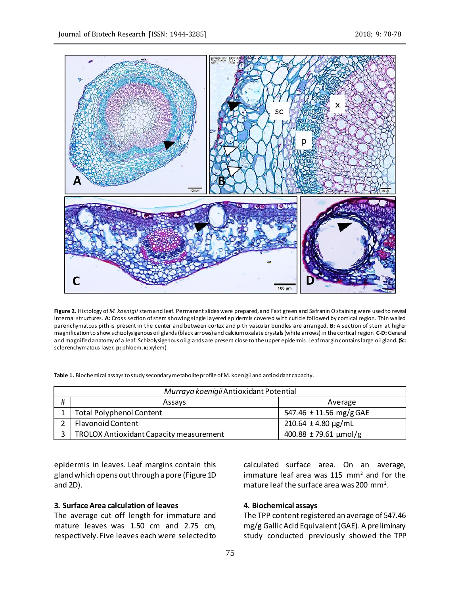

**Figure 2.** Histology of *M. koenigii* stem and leaf. Permanent slides were prepared, and Fast green and Safranin O staining were used to reveal internal structures. **A:** Cross section of stem showing single layered epidermis covered with cuticle followed by cortical region. Thin walled parenchymatous pith is present in the center and between cortex and pith vascular bundles are arranged. **B:** A section of stem at higher magnification to show schizolysigenous oil glands (black arrows) and calcium oxalate crystals (white arrows) in the cortical region. **C-D:** General and magnified anatomy of a leaf. Schizolysigenous oil glands are present close to the upper epidermis. Leaf margin contains large oil gland. (**Sc:** sclerenchymatous layer, **p:** phloem, **x:** xylem)

**Table 1.** Biochemical assays to study secondary metabolite profile of M. koenigii and antioxidant capacity.

| Murraya koenigii Antioxidant Potential |                                         |                              |
|----------------------------------------|-----------------------------------------|------------------------------|
| #                                      | Assays                                  | Average                      |
|                                        | <b>Total Polyphenol Content</b>         | 547.46 $\pm$ 11.56 mg/g GAE  |
|                                        | <b>Flavonoid Content</b>                | $210.64 \pm 4.80 \,\mu g/mL$ |
|                                        | TROLOX Antioxidant Capacity measurement | $400.88 \pm 79.61$ µmol/g    |

epidermis in leaves. Leaf margins contain this gland which opens out through a pore (Figure 1D and 2D).

### **3. Surface Area calculation of leaves**

The average cut off length for immature and mature leaves was 1.50 cm and 2.75 cm, respectively. Five leaves each were selected to calculated surface area. On an average, immature leaf area was  $115$  mm<sup>2</sup> and for the mature leaf the surface area was 200 mm<sup>2</sup>.

## **4. Biochemical assays**

The TPP content registered an average of 547.46 mg/g Gallic Acid Equivalent (GAE). A preliminary study conducted previously showed the TPP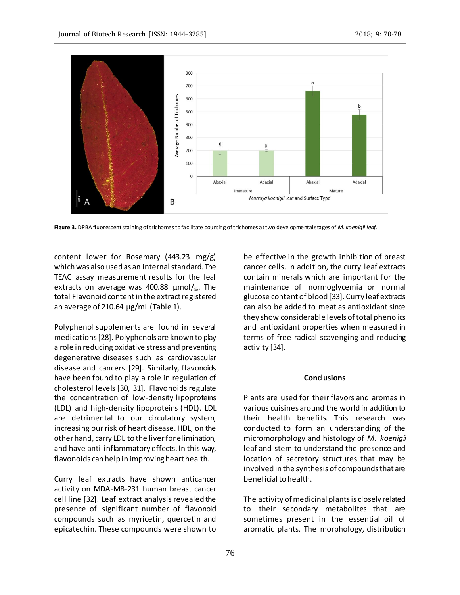![](_page_6_Figure_2.jpeg)

**Figure 3.** DPBA fluorescent staining of trichomes to facilitate counting of trichomes at two developmental stages of *M. koenigii leaf*.

content lower for Rosemary (443.23 mg/g) which was also used as an internal standard. The TEAC assay measurement results for the leaf extracts on average was 400.88 µmol/g. The total Flavonoid content in the extract registered an average of 210.64 μg/mL (Table 1).

Polyphenol supplements are found in several medications [28]. Polyphenols are known to play a role in reducing oxidative stress and preventing degenerative diseases such as cardiovascular disease and cancers [29]. Similarly, flavonoids have been found to play a role in regulation of cholesterol levels [30, 31]. Flavonoids regulate the concentration of low-density lipoproteins (LDL) and high-density lipoproteins (HDL). LDL are detrimental to our circulatory system, increasing our risk of heart disease. HDL, on the other hand, carry LDL to the liver for elimination, and have anti-inflammatory effects. In this way, flavonoids can help in improving heart health.

Curry leaf extracts have shown anticancer activity on MDA-MB-231 human breast cancer cell line [32]. Leaf extract analysis revealed the presence of significant number of flavonoid compounds such as myricetin, quercetin and epicatechin. These compounds were shown to

be effective in the growth inhibition of breast cancer cells. In addition, the curry leaf extracts contain minerals which are important for the maintenance of normoglycemia or normal glucose content of blood [33]. Curry leaf extracts can also be added to meat as antioxidant since they show considerable levels of total phenolics and antioxidant properties when measured in terms of free radical scavenging and reducing activity [34].

#### **Conclusions**

Plants are used for their flavors and aromas in various cuisines around the world in addition to their health benefits. This research was conducted to form an understanding of the micromorphology and histology of *M*. *koenigii*  leaf and stem to understand the presence and location of secretory structures that may be involved in the synthesis of compounds that are beneficial to health.

The activity of medicinal plants is closely related to their secondary metabolites that are sometimes present in the essential oil of aromatic plants. The morphology, distribution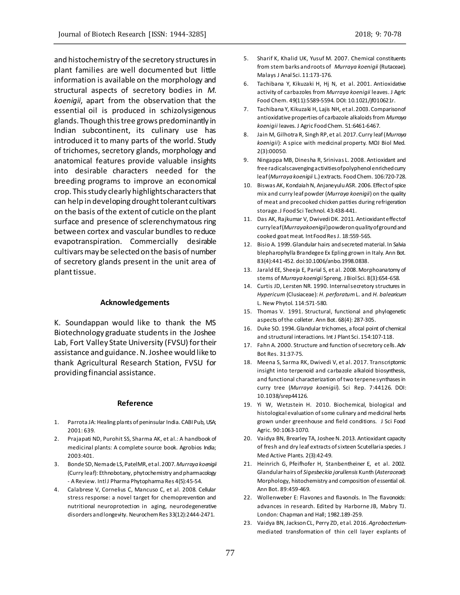and histochemistry of the secretory structures in plant families are well documented but little information is available on the morphology and structural aspects of secretory bodies in *M*. *koenigii*, apart from the observation that the essential oil is produced in schizolysigenous glands. Though this tree grows predominantly in Indian subcontinent, its culinary use has introduced it to many parts of the world. Study of trichomes, secretory glands, morphology and anatomical features provide valuable insights into desirable characters needed for the breeding programs to improve an economical crop. This study clearly highlights characters that can help in developing drought tolerant cultivars on the basis of the extent of cuticle on the plant surface and presence of sclerenchymatous ring between cortex and vascular bundles to reduce evapotranspiration. Commercially desirable cultivars may be selected on the basis of number of secretory glands present in the unit area of plant tissue.

#### **Acknowledgements**

K. Soundappan would like to thank the MS Biotechnology graduate students in the Joshee Lab, Fort Valley State University (FVSU) for their assistance and guidance.N. Joshee would like to thank Agricultural Research Station, FVSU for providing financial assistance.

#### **Reference**

- 1. Parrota JA: Healing plants of peninsular India. CABI Pub, USA; 2001: 639.
- 2. Prajapati ND, Purohit SS, Sharma AK, et al.: A handbook of medicinal plants: A complete source book. Agrobios India; 2003:401.
- 3. Bonde SD, Nemade LS, Patel MR, et al. 2007. *Murraya koenigii* (Curry leaf): Ethnobotany, phytochemistry and pharmacology - A Review. IntlJ Pharma Phytopharma Res 4(5):45-54.
- 4. Calabrese V, Cornelius C, Mancuso C, et al. 2008. Cellular stress response: a novel target for chemoprevention and nutritional neuroprotection in aging, neurodegenerative disorders and longevity. Neurochem Res 33(12):2444-2471.
- 5. Sharif K, Khalid UK, Yusuf M. 2007. Chemical constituents from stem barks and roots of *Murraya koenigii* (Rutaceae). Malays J Anal Sci. 11:173-176.
- 6. Tachibana Y, Kikuzaki H, Hj N, et al. 2001. Antioxidative activity of carbazoles from *Murraya koenigii* leaves. J Agric Food Chem. 49(11):5589-5594. DOI: 10.1021/jf010621r.
- 7. Tachibana Y, Kikuzaki H, Lajis NH, et al. 2003. Comparison of antioxidative properties of carbazole alkaloids from *Murraya koenigii* leaves. J Agric Food Chem. 51:6461-6467.
- 8. Jain M, Gilhotra R, Singh RP, et al. 2017. Curry leaf (*Murraya koenigii*): A spice with medicinal property. MOJ Biol Med. 2(3):00050.
- 9. Ningappa MB, Dinesha R, Srinivas L. 2008. Antioxidant and free radical scavenging activities of polyphenol enriched curry leaf (*Murraya koenigii* L.) extracts. Food Chem. 106:720-728.
- 10. Biswas AK, Kondaiah N, Anjaneyulu ASR. 2006. Effect of spice mix and curry leaf powder (*Murraya koenigii*) on the quality of meat and precooked chicken patties during refrigeration storage. J Food Sci Technol. 43:438-441.
- 11. Das AK, Rajkumar V, Dwivedi DK. 2011. Antioxidant effectof curry leaf (*Murraya koenigii*) powder on quality of ground and cooked goat meat. Int Food Res J. 18:559-565.
- 12. Bisio A. 1999. Glandular hairs and secreted material. In Salvia blepharophylla Brandegee Ex Epling grown in Italy. Ann Bot. 83(4):441-452. doi:10.1006/anbo.1998.0838.
- 13. Jarald EE, Sheeja E, Parial S, et al. 2008. Morphoanatomy of stems of *Murraya koenigii* Spreng. J Biol Sci. 8(3):654-658.
- 14. Curtis JD, Lersten NR. 1990. Internal secretory structures in *Hypericum* (Clusiaceae): *H. perforatum*L. and *H. balearicum* L. New Phytol. 114:571-580.
- 15. Thomas V. 1991. Structural, functional and phylogenetic aspects of the colleter. Ann Bot. 68(4): 287-305.
- 16. Duke SO. 1994. Glandular trichomes, a focal point of chemical and structural interactions. Int J Plant Sci. 154:107-118.
- 17. Fahn A. 2000. Structure and function of secretory cells. Adv Bot Res. 31:37-75.
- 18. Meena S, Sarma RK, Dwivedi V, et al. 2017. Transcriptomic insight into terpenoid and carbazole alkaloid biosynthesis, and functional characterization of two terpene synthases in curry tree (*Murraya koenigii*). Sci Rep. 7:44126. DOI: 10.1038/srep44126.
- 19. Yi W, Wetzstein H. 2010. Biochemical, biological and histological evaluation of some culinary and medicinal herbs grown under greenhouse and field conditions. J Sci Food Agric. 90:1063-1070.
- 20. Vaidya BN, Brearley TA, Joshee N. 2013. Antioxidant capacity of fresh and dry leaf extracts of sixteen Scutellaria species. J Med Active Plants. 2(3):42-49.
- 21. Heinrich G, Pfeifhofer H, Stanbentheiner E, et al. 2002. Glandular hairs of *Sigesbeckia jorullensis* Kunth (*Asteraceae*): Morphology, histochemistry and composition of essential oil. Ann Bot. 89:459-469.
- 22. Wollenweber E: Flavones and flavonols. In The flavonoids: advances in research. Edited by Harborne JB, Mabry TJ. London: Chapman and Hall; 1982.189-259.
- 23. Vaidya BN, Jackson CL, Perry ZD, et al. 2016. *Agrobacterium*mediated transformation of thin cell layer explants of